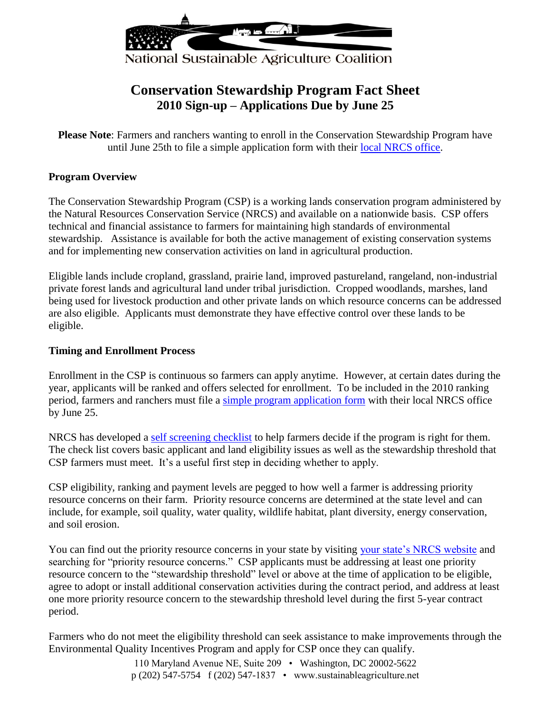

# **Conservation Stewardship Program Fact Sheet 2010 Sign-up – Applications Due by June 25**

**Please Note**: Farmers and ranchers wanting to enroll in the Conservation Stewardship Program have until June 25th to file a simple application form with their [local NRCS office.](http://offices.sc.egov.usda.gov/locator/app)

#### **Program Overview**

The Conservation Stewardship Program (CSP) is a working lands conservation program administered by the Natural Resources Conservation Service (NRCS) and available on a nationwide basis. CSP offers technical and financial assistance to farmers for maintaining high standards of environmental stewardship. Assistance is available for both the active management of existing conservation systems and for implementing new conservation activities on land in agricultural production.

Eligible lands include cropland, grassland, prairie land, improved pastureland, rangeland, non-industrial private forest lands and agricultural land under tribal jurisdiction. Cropped woodlands, marshes, land being used for livestock production and other private lands on which resource concerns can be addressed are also eligible. Applicants must demonstrate they have effective control over these lands to be eligible.

#### **Timing and Enrollment Process**

Enrollment in the CSP is continuous so farmers can apply anytime. However, at certain dates during the year, applicants will be ranked and offers selected for enrollment. To be included in the 2010 ranking period, farmers and ranchers must file a [simple program application form](http://www.nrcs.usda.gov/new_csp/special_pdfs/Blank_CSP_CCC1200.pdf) with their local NRCS office by June 25.

NRCS has developed a [self screening checklist](http://www.nrcs.usda.gov/programs/new_csp/special_pdfs/CSP_Producer_Self-Screening_Checklist.pdf) to help farmers decide if the program is right for them. The check list covers basic applicant and land eligibility issues as well as the stewardship threshold that CSP farmers must meet. It's a useful first step in deciding whether to apply.

CSP eligibility, ranking and payment levels are pegged to how well a farmer is addressing priority resource concerns on their farm. Priority resource concerns are determined at the state level and can include, for example, soil quality, water quality, wildlife habitat, plant diversity, energy conservation, and soil erosion.

You can find out the priority resource concerns in your state by visiting [your state's NRCS website](http://www.nrcs.usda.gov/about/organization/regions.html) and searching for "priority resource concerns." CSP applicants must be addressing at least one priority resource concern to the "stewardship threshold" level or above at the time of application to be eligible, agree to adopt or install additional conservation activities during the contract period, and address at least one more priority resource concern to the stewardship threshold level during the first 5-year contract period.

Farmers who do not meet the eligibility threshold can seek assistance to make improvements through the Environmental Quality Incentives Program and apply for CSP once they can qualify.

> 110 Maryland Avenue NE, Suite 209 • Washington, DC 20002-5622 p (202) 547-5754 f (202) 547-1837 • www.sustainableagriculture.net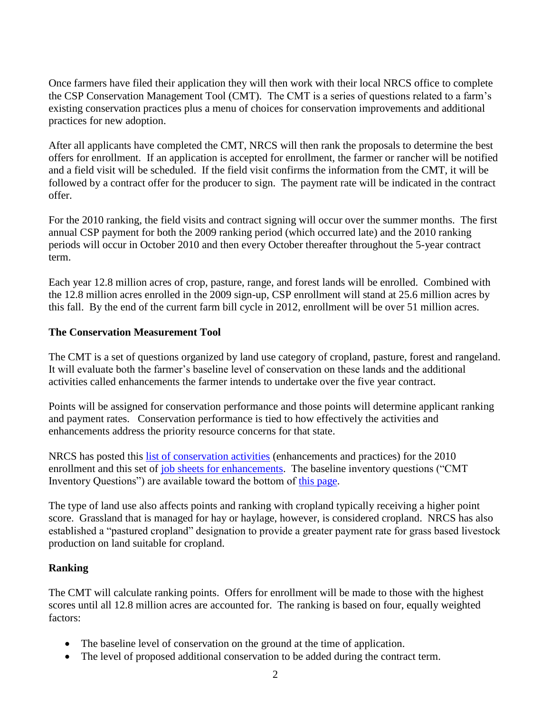Once farmers have filed their application they will then work with their local NRCS office to complete the CSP Conservation Management Tool (CMT). The CMT is a series of questions related to a farm's existing conservation practices plus a menu of choices for conservation improvements and additional practices for new adoption.

After all applicants have completed the CMT, NRCS will then rank the proposals to determine the best offers for enrollment. If an application is accepted for enrollment, the farmer or rancher will be notified and a field visit will be scheduled. If the field visit confirms the information from the CMT, it will be followed by a contract offer for the producer to sign. The payment rate will be indicated in the contract offer.

For the 2010 ranking, the field visits and contract signing will occur over the summer months. The first annual CSP payment for both the 2009 ranking period (which occurred late) and the 2010 ranking periods will occur in October 2010 and then every October thereafter throughout the 5-year contract term.

Each year 12.8 million acres of crop, pasture, range, and forest lands will be enrolled. Combined with the 12.8 million acres enrolled in the 2009 sign-up, CSP enrollment will stand at 25.6 million acres by this fall. By the end of the current farm bill cycle in 2012, enrollment will be over 51 million acres.

## **The Conservation Measurement Tool**

The CMT is a set of questions organized by land use category of cropland, pasture, forest and rangeland. It will evaluate both the farmer's baseline level of conservation on these lands and the additional activities called enhancements the farmer intends to undertake over the five year contract.

Points will be assigned for conservation performance and those points will determine applicant ranking and payment rates. Conservation performance is tied to how effectively the activities and enhancements address the priority resource concerns for that state.

NRCS has posted this [list of conservation activities](http://www.nrcs.usda.gov/new_csp/2010/ranking_period_two/jobsheet_pdfs/special/CSP_Conservation_Activity_List_5_21_10.pdf) (enhancements and practices) for the 2010 enrollment and this set of job sheets [for enhancements.](http://www.nrcs.usda.gov/new_csp/2010_jobsheets-rp-two.html#soil_ero) The baseline inventory questions ("CMT Inventory Questions") are available toward the bottom of [this page.](http://nrcs.usda.gov/programs/new_csp/csp.html)

The type of land use also affects points and ranking with cropland typically receiving a higher point score. Grassland that is managed for hay or haylage, however, is considered cropland. NRCS has also established a "pastured cropland" designation to provide a greater payment rate for grass based livestock production on land suitable for cropland.

#### **Ranking**

The CMT will calculate ranking points. Offers for enrollment will be made to those with the highest scores until all 12.8 million acres are accounted for. The ranking is based on four, equally weighted factors:

- The baseline level of conservation on the ground at the time of application.
- The level of proposed additional conservation to be added during the contract term.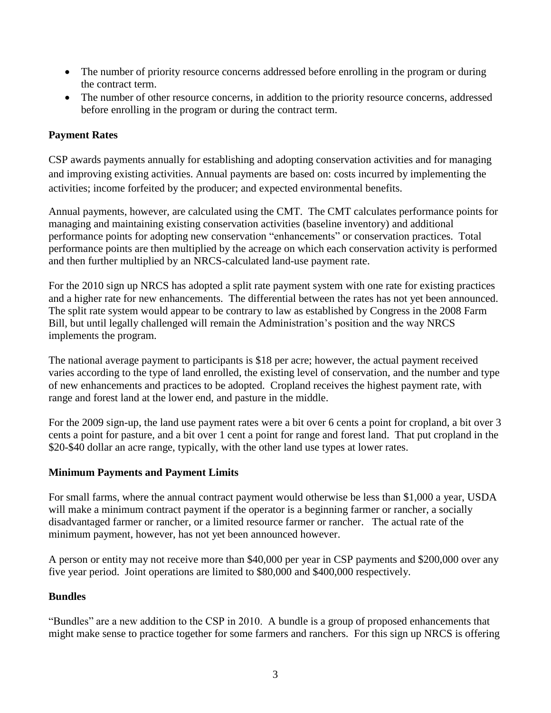- The number of priority resource concerns addressed before enrolling in the program or during the contract term.
- The number of other resource concerns, in addition to the priority resource concerns, addressed before enrolling in the program or during the contract term.

# **Payment Rates**

CSP awards payments annually for establishing and adopting conservation activities and for managing and improving existing activities. Annual payments are based on: costs incurred by implementing the activities; income forfeited by the producer; and expected environmental benefits.

Annual payments, however, are calculated using the CMT. The CMT calculates performance points for managing and maintaining existing conservation activities (baseline inventory) and additional performance points for adopting new conservation "enhancements" or conservation practices. Total performance points are then multiplied by the acreage on which each conservation activity is performed and then further multiplied by an NRCS-calculated land-use payment rate.

For the 2010 sign up NRCS has adopted a split rate payment system with one rate for existing practices and a higher rate for new enhancements. The differential between the rates has not yet been announced. The split rate system would appear to be contrary to law as established by Congress in the 2008 Farm Bill, but until legally challenged will remain the Administration's position and the way NRCS implements the program.

The national average payment to participants is \$18 per acre; however, the actual payment received varies according to the type of land enrolled, the existing level of conservation, and the number and type of new enhancements and practices to be adopted. Cropland receives the highest payment rate, with range and forest land at the lower end, and pasture in the middle.

For the 2009 sign-up, the land use payment rates were a bit over 6 cents a point for cropland, a bit over 3 cents a point for pasture, and a bit over 1 cent a point for range and forest land. That put cropland in the \$20-\$40 dollar an acre range, typically, with the other land use types at lower rates.

## **Minimum Payments and Payment Limits**

For small farms, where the annual contract payment would otherwise be less than \$1,000 a year, USDA will make a minimum contract payment if the operator is a beginning farmer or rancher, a socially disadvantaged farmer or rancher, or a limited resource farmer or rancher. The actual rate of the minimum payment, however, has not yet been announced however.

A person or entity may not receive more than \$40,000 per year in CSP payments and \$200,000 over any five year period. Joint operations are limited to \$80,000 and \$400,000 respectively.

## **Bundles**

"Bundles" are a new addition to the CSP in 2010. A bundle is a group of proposed enhancements that might make sense to practice together for some farmers and ranchers. For this sign up NRCS is offering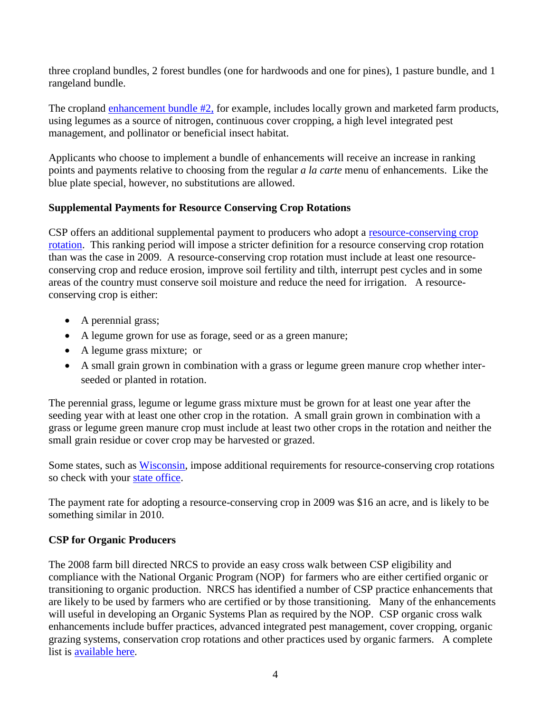three cropland bundles, 2 forest bundles (one for hardwoods and one for pines), 1 pasture bundle, and 1 rangeland bundle.

The cropland [enhancement bundle #2,](http://www.nrcs.usda.gov/new_csp/2010/ranking_period_two/enhancement_bundle_pdfs/10_R2_BCR02.pdf) for example, includes locally grown and marketed farm products, using legumes as a source of nitrogen, continuous cover cropping, a high level integrated pest management, and pollinator or beneficial insect habitat.

Applicants who choose to implement a bundle of enhancements will receive an increase in ranking points and payments relative to choosing from the regular *a la carte* menu of enhancements. Like the blue plate special, however, no substitutions are allowed.

# **Supplemental Payments for Resource Conserving Crop Rotations**

CSP offers an additional supplemental payment to producers who adopt a resource-conserving crop [rotation.](http://www.nrcs.usda.gov/new_csp/2010/ranking_period_two/jobsheet_pdfs/special/10_R2_CCR99_Resource_Conserving_Crop_Rotation.pdf) This ranking period will impose a stricter definition for a resource conserving crop rotation than was the case in 2009. A resource-conserving crop rotation must include at least one resourceconserving crop and reduce erosion, improve soil fertility and tilth, interrupt pest cycles and in some areas of the country must conserve soil moisture and reduce the need for irrigation. A resourceconserving crop is either:

- A perennial grass;
- A legume grown for use as forage, seed or as a green manure;
- A legume grass mixture; or
- A small grain grown in combination with a grass or legume green manure crop whether interseeded or planted in rotation.

The perennial grass, legume or legume grass mixture must be grown for at least one year after the seeding year with at least one other crop in the rotation. A small grain grown in combination with a grass or legume green manure crop must include at least two other crops in the rotation and neither the small grain residue or cover crop may be harvested or grazed.

Some states, such as [Wisconsin,](http://www.wi.nrcs.usda.gov/programs/csp/CCR99.pdf) impose additional requirements for resource-conserving crop rotations so check with your [state office.](http://www.nrcs.usda.gov/about/organization/regions.html)

The payment rate for adopting a resource-conserving crop in 2009 was \$16 an acre, and is likely to be something similar in 2010.

## **CSP for Organic Producers**

The 2008 farm bill directed NRCS to provide an easy cross walk between CSP eligibility and compliance with the National Organic Program (NOP) for farmers who are either certified organic or transitioning to organic production. NRCS has identified a number of CSP practice enhancements that are likely to be used by farmers who are certified or by those transitioning. Many of the enhancements will useful in developing an Organic Systems Plan as required by the NOP. CSP organic cross walk enhancements include buffer practices, advanced integrated pest management, cover cropping, organic grazing systems, conservation crop rotations and other practices used by organic farmers. A complete list is [available here.](http://www.nrcs.usda.gov/new_csp/special_pdfs/Organic_Crosswalk_091009_dl.pdf)